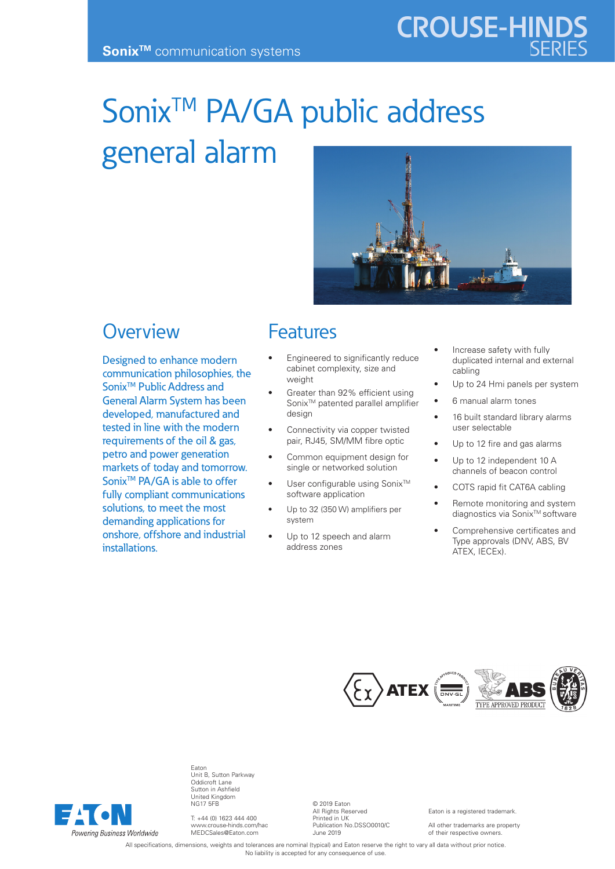# Sonix<sup>™</sup> PA/GA public address general alarm



#### **Overview**

Designed to enhance modern communication philosophies, the Sonix<sup>™</sup> Public Address and General Alarm System has been developed, manufactured and tested in line with the modern requirements of the oil & gas, petro and power generation markets of today and tomorrow. Sonix<sup>™</sup> PA/GA is able to offer fully compliant communications solutions, to meet the most demanding applications for onshore, offshore and industrial installations.

#### Features

- Engineered to significantly reduce cabinet complexity, size and weight
- Greater than 92% efficient using Sonix<sup>™</sup> patented parallel amplifier desian
- Connectivity via copper twisted pair, RJ45, SM/MM fibre optic
- Common equipment design for single or networked solution
- User configurable using Sonix<sup>™</sup> software application
- Up to 32 (350 W) amplifiers per system
- Up to 12 speech and alarm address zones
- Increase safety with fully duplicated internal and external cabling
- Up to 24 Hmi panels per system
- 6 manual alarm tones

**CROUSE-HINDS**

- 16 built standard library alarms user selectable
- Up to 12 fire and gas alarms
- Up to 12 independent 10 A channels of beacon control
- COTS rapid fit CAT6A cabling
- Remote monitoring and system diagnostics via Sonix<sup>™</sup> software
- Comprehensive certificates and Type approvals (DNV, ABS, BV ATEX, IECEx).





Eaton Unit B, Sutton Parkway Oddicroft Lane Sutton in Ashfield United Kingdom NG17 5FB

T: +44 (0) 1623 444 400 www.crouse-hinds.com/hac MEDCSales@Eaton.com

© 2019 Eaton All Rights Reserved Printed in UK Publication No.DSSO0010/C June 2019

Eaton is a registered trademark.

All other trademarks are property of their respective owner

All specifications, dimensions, weights and tolerances are nominal (typical) and Eaton reserve the right to vary all data without prior notice. No liability is accepted for any consequence of use.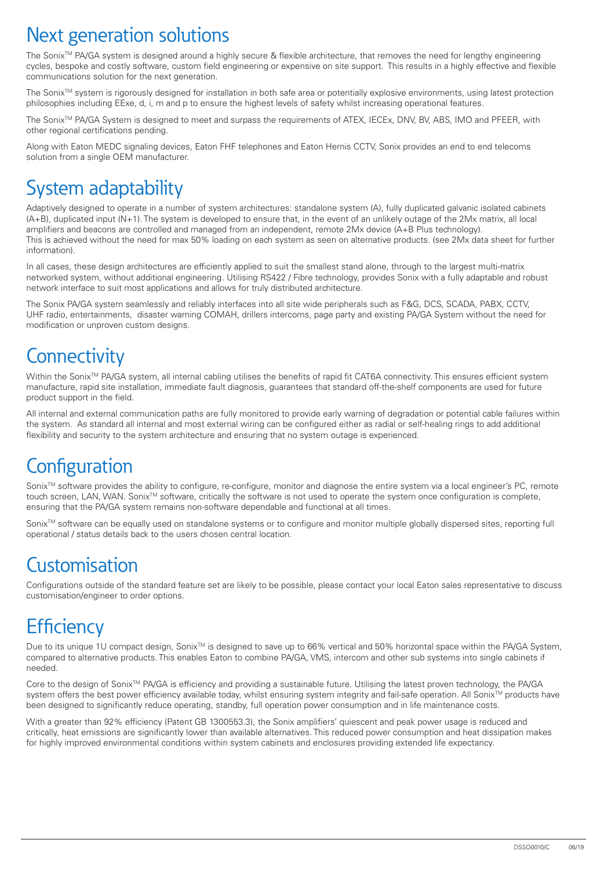## Next generation solutions

The Sonix<sup>™</sup> PA/GA system is designed around a highly secure & flexible architecture, that removes the need for lengthy engineering cycles, bespoke and costly software, custom field engineering or expensive on site support. This results in a highly effective and flexible communications solution for the next generation.

The Sonix<sup>™</sup> system is rigorously designed for installation in both safe area or potentially explosive environments, using latest protection philosophies including EExe, d, i, m and p to ensure the highest levels of safety whilst increasing operational features.

The Sonix<sup>™</sup> PA/GA System is designed to meet and surpass the requirements of ATEX, IECEx, DNV, BV, ABS, IMO and PFEER, with other regional certifications pending.

Along with Eaton MEDC signaling devices, Eaton FHF telephones and Eaton Hernis CCTV, Sonix provides an end to end telecoms solution from a single OEM manufacturer.

# System adaptability

Adaptively designed to operate in a number of system architectures: standalone system (A), fully duplicated galvanic isolated cabinets (A+B), duplicated input (N+1). The system is developed to ensure that, in the event of an unlikely outage of the 2Mx matrix, all local amplifiers and beacons are controlled and managed from an independent, remote 2Mx device (A+B Plus technology). This is achieved without the need for max 50% loading on each system as seen on alternative products. (see 2Mx data sheet for further information).

In all cases, these design architectures are efficiently applied to suit the smallest stand alone, through to the largest multi-matrix networked system, without additional engineering. Utilising RS422 / Fibre technology, provides Sonix with a fully adaptable and robust network interface to suit most applications and allows for truly distributed architecture.

The Sonix PA/GA system seamlessly and reliably interfaces into all site wide peripherals such as F&G, DCS, SCADA, PABX, CCTV, UHF radio, entertainments, disaster warning COMAH, drillers intercoms, page party and existing PA/GA System without the need for modification or unproven custom designs.

## **Connectivity**

Within the Sonix<sup>™</sup> PA/GA system, all internal cabling utilises the benefits of rapid fit CAT6A connectivity. This ensures efficient system manufacture, rapid site installation, immediate fault diagnosis, guarantees that standard off-the-shelf components are used for future product support in the field.

All internal and external communication paths are fully monitored to provide early warning of degradation or potential cable failures within the system. As standard all internal and most external wiring can be configured either as radial or self-healing rings to add additional flexibility and security to the system architecture and ensuring that no system outage is experienced.

## **Configuration**

Sonix™ software provides the ability to configure, re-configure, monitor and diagnose the entire system via a local engineer's PC, remote touch screen, LAN, WAN. Sonix<sup>TM</sup> software, critically the software is not used to operate the system once configuration is complete, ensuring that the PA/GA system remains non-software dependable and functional at all times.

Sonix™ software can be equally used on standalone systems or to configure and monitor multiple globally dispersed sites, reporting full operational / status details back to the users chosen central location.

## **Customisation**

Configurations outside of the standard feature set are likely to be possible, please contact your local Eaton sales representative to discuss customisation/engineer to order options.

# **Efficiency**

Due to its unique 1U compact design, Sonix™ is designed to save up to 66% vertical and 50% horizontal space within the PA/GA System, compared to alternative products. This enables Eaton to combine PA/GA, VMS, intercom and other sub systems into single cabinets if needed.

Core to the design of Sonix<sup>™</sup> PA/GA is efficiency and providing a sustainable future. Utilising the latest proven technology, the PA/GA system offers the best power efficiency available today, whilst ensuring system integrity and fail-safe operation. All Sonix™ products have been designed to significantly reduce operating, standby, full operation power consumption and in life maintenance costs.

With a greater than 92% efficiency (Patent GB 1300553.3), the Sonix amplifiers' quiescent and peak power usage is reduced and critically, heat emissions are significantly lower than available alternatives. This reduced power consumption and heat dissipation makes for highly improved environmental conditions within system cabinets and enclosures providing extended life expectancy.